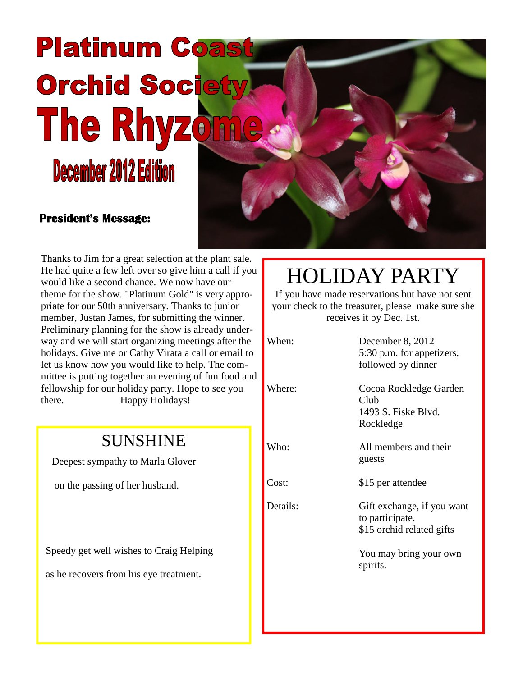# **Platinum Coast Orchid Society The Rhyzo** December 2012 Edition

#### **President's Message:**

Thanks to Jim for a great selection at the plant sale. He had quite a few left over so give him a call if you would like a second chance. We now have our theme for the show. "Platinum Gold" is very appropriate for our 50th anniversary. Thanks to junior member, Justan James, for submitting the winner. Preliminary planning for the show is already underway and we will start organizing meetings after the holidays. Give me or Cathy Virata a call or email to let us know how you would like to help. The committee is putting together an evening of fun food and fellowship for our holiday party. Hope to see you there. Happy Holidays!

#### SUNSHINE

Deepest sympathy to Marla Glover

on the passing of her husband.

Speedy get well wishes to Craig Helping

as he recovers from his eye treatment.

## HOLIDAY PARTY

If you have made reservations but have not sent your check to the treasurer, please make sure she receives it by Dec. 1st.

Where: Cocoa Rockledge Garden Club 1493 S. Fiske Blvd.

Who: All members and their guests

Cost: \$15 per attendee

Details: Gift exchange, if you want to participate. \$15 orchid related gifts

> You may bring your own spirits.

When: December 8, 2012 5:30 p.m. for appetizers,

followed by dinner

Rockledge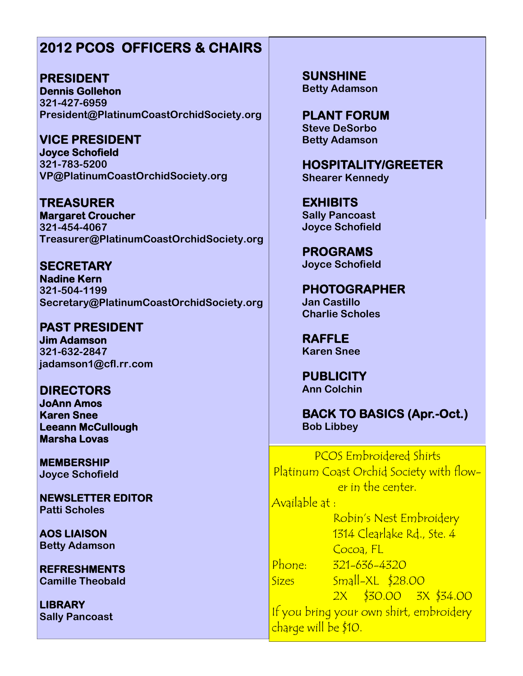#### **2012 PCOS OFFICERS & CHAIRS**

**PRESIDENT Dennis Gollehon 321-427-6959 President@PlatinumCoastOrchidSociety.org**

**VICE PRESIDENT Joyce Schofield 321-783-5200 VP@PlatinumCoastOrchidSociety.org**

**TREASURER Margaret Croucher 321-454-4067 Treasurer@PlatinumCoastOrchidSociety.org**

**SECRETARY Nadine Kern 321-504-1199 Secretary@PlatinumCoastOrchidSociety.org**

**PAST PRESIDENT Jim Adamson 321-632-2847 jadamson1@cfl.rr.com**

**DIRECTORS JoAnn Amos Karen Snee Leeann McCullough Marsha Lovas**

**MEMBERSHIP Joyce Schofield**

**NEWSLETTER EDITOR Patti Scholes**

**AOS LIAISON Betty Adamson**

**REFRESHMENTS Camille Theobald**

**LIBRARY Sally Pancoast** **SUNSHINE Betty Adamson**

**PLANT FORUM Steve DeSorbo Betty Adamson**

**HOSPITALITY/GREETER Shearer Kennedy**

**EXHIBITS Sally Pancoast Joyce Schofield**

**PROGRAMS Joyce Schofield**

**PHOTOGRAPHER Jan Castillo Charlie Scholes**

**RAFFLE Karen Snee**

**PUBLICITY Ann Colchin**

**BACK TO BASICS (Apr.-Oct.) Bob Libbey**

PCOS Embroidered Shirts Platinum Coast Orchid Society with flower in the center. Available at : Robin's Nest Embroidery 1314 Clearlake Rd., Ste. 4

Cocoa, FL Phone: 321-636-4320 Sizes Small-XL \$28.00

2X \$30.00 3X \$34.00 If you bring your own shirt, embroidery charge will be \$10.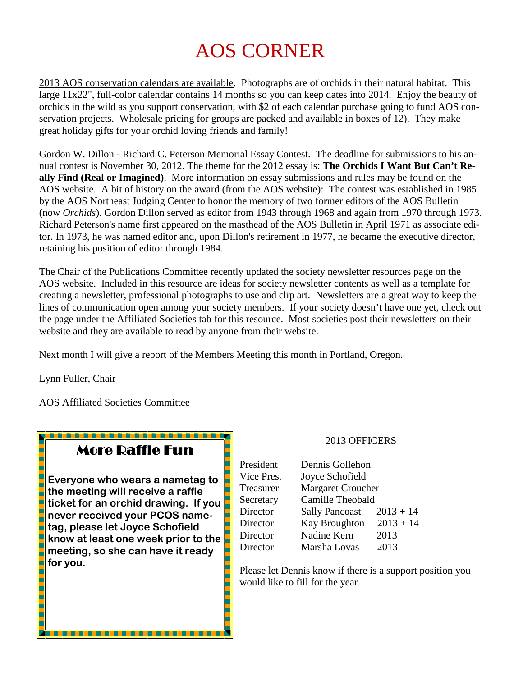## AOS CORNER

2013 AOS conservation calendars are available. Photographs are of orchids in their natural habitat. This large 11x22", full-color calendar contains 14 months so you can keep dates into 2014. Enjoy the beauty of orchids in the wild as you support conservation, with \$2 of each calendar purchase going to fund AOS conservation projects. Wholesale pricing for groups are packed and available in boxes of 12). They make great holiday gifts for your orchid loving friends and family!

Gordon W. Dillon - Richard C. Peterson Memorial Essay Contest. The deadline for submissions to his annual contest is November 30, 2012. The theme for the 2012 essay is: **The Orchids I Want But Can't Really Find (Real or Imagined)**. More information on essay submissions and rules may be found on the AOS website. A bit of history on the award (from the AOS website): The contest was established in 1985 by the AOS Northeast Judging Center to honor the memory of two former editors of the AOS Bulletin (now *Orchids*). Gordon Dillon served as editor from 1943 through 1968 and again from 1970 through 1973. Richard Peterson's name first appeared on the masthead of the AOS Bulletin in April 1971 as associate editor. In 1973, he was named editor and, upon Dillon's retirement in 1977, he became the executive director, retaining his position of editor through 1984.

The Chair of the Publications Committee recently updated the society newsletter resources page on the AOS website. Included in this resource are ideas for society newsletter contents as well as a template for creating a newsletter, professional photographs to use and clip art. Newsletters are a great way to keep the lines of communication open among your society members. If your society doesn't have one yet, check out the page under the Affiliated Societies tab for this resource. Most societies post their newsletters on their website and they are available to read by anyone from their website.

Next month I will give a report of the Members Meeting this month in Portland, Oregon.

E L

i<br>L

Lynn Fuller, Chair

h Г

AOS Affiliated Societies Committee

#### More Raffle Fun

<u> Kanada ang Kabupatèn Bandara</u>

L **Everyone who wears a nametag to** ⊏ **the meeting will receive a raffle ticket for an orchid drawing. If you** 5 **never received your PCOS name-**Н E **tag, please let Joyce Schofield know at least one week prior to the** E **meeting, so she can have it ready** E L **for you.The College**  2013 OFFICERS

| President  | Dennis Gollehon       |             |
|------------|-----------------------|-------------|
| Vice Pres. | Joyce Schofield       |             |
| Treasurer  | Margaret Croucher     |             |
| Secretary  | Camille Theobald      |             |
| Director   | <b>Sally Pancoast</b> | $2013 + 14$ |
| Director   | <b>Kay Broughton</b>  | $2013 + 14$ |
| Director   | Nadine Kern           | 2013        |
| Director   | Marsha Lovas          | 2013        |

Please let Dennis know if there is a support position you would like to fill for the year.